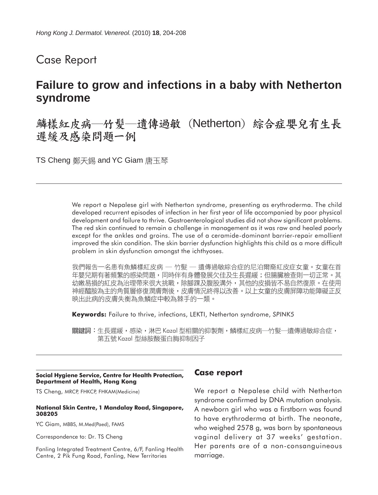Case Report

# **Failure to grow and infections in a baby with Netherton syndrome**

鱗樣紅皮病—竹髮—遺傳過敏 (Netherton) 綜合症嬰兒有生長 遲緩及感染問題一例

TS Cheng 鄭天錫 and YC Giam 唐玉琴

We report a Nepalese girl with Netherton syndrome, presenting as erythroderma. The child developed recurrent episodes of infection in her first year of life accompanied by poor physical development and failure to thrive. Gastroenterological studies did not show significant problems. The red skin continued to remain a challenge in management as it was raw and healed poorly except for the ankles and groins. The use of a ceramide-dominant barrier-repair emollient improved the skin condition. The skin barrier dysfunction highlights this child as a more difficult problem in skin dysfunction amongst the ichthyoses.

我們報告一名患有魚鱗樣紅皮病 — 竹髮 — 遺傳過敏綜合症的尼泊爾裔紅皮症女童。女童在首 年嬰兒期有著頻繁的感染問題,同時伴有身體發展欠佳及生長遲緩;但腸臟檢查則一切正常。其 幼嫩易損的紅皮為治理帶來很大挑戰,除腳踝及腹股溝外,其他的皮損皆不易自然復原。在使用 神經醯胺為主的角質層修復潤膚劑後,皮膚情況終得以改善。以上女童的皮膚屏障功能障礙正反 映出此病的皮膚失衡為魚鱗症中較為棘手的一類。

**Keywords:** Failure to thrive, infections, LEKTI, Netherton syndrome, *SPINK5*

關鍵詞:生長遲緩,感染,淋巴 Kazal 型相關的抑製劑,鱗樣紅皮病—竹髮—遺傳過敏綜合症, 第五號 Kazal 型絲胺酸蛋白脢抑制因子

### **Social Hygiene Service, Centre for Health Protection, Department of Health, Hong Kong**

TS Cheng, MRCP, FHKCP, FHKAM(Medicine)

#### **National Skin Centre, 1 Mandalay Road, Singapore, 308205**

YC Giam, MBBS, M.Med(Paed), FAMS

Correspondence to: Dr. TS Cheng

Fanling Integrated Treatment Centre, 6/F, Fanling Health Centre, 2 Pik Fung Road, Fanling, New Territories

## **Case report**

We report a Nepalese child with Netherton syndrome confirmed by DNA mutation analysis. A newborn girl who was a firstborn was found to have erythroderma at birth. The neonate, who weighed 2578 g, was born by spontaneous vaginal delivery at 37 weeks' gestation. Her parents are of a non-consanguineous marriage.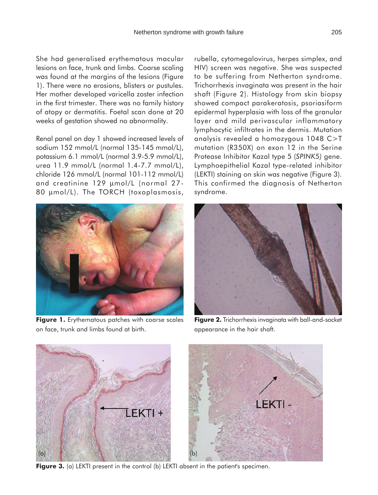She had generalised erythematous macular lesions on face, trunk and limbs. Coarse scaling was found at the margins of the lesions (Figure 1). There were no erosions, blisters or pustules. Her mother developed varicella zoster infection in the first trimester. There was no family history of atopy or dermatitis. Foetal scan done at 20 weeks of gestation showed no abnormality.

Renal panel on day 1 showed increased levels of sodium 152 mmol/L (normal 135-145 mmol/L), potassium 6.1 mmol/L (normal 3.9-5.9 mmol/L), urea 11.9 mmol/L (normal 1.4-7.7 mmol/L), chloride 126 mmol/L (normal 101-112 mmol/L) and creatinine 129 µmol/L (normal 27- 80 µmol/L). The TORCH (toxoplasmosis,



Figure 1. Erythematous patches with coarse scales on face, trunk and limbs found at birth.

rubella, cytomegalovirus, herpes simplex, and HIV) screen was negative. She was suspected to be suffering from Netherton syndrome. Trichorrhexis invaginata was present in the hair shaft (Figure 2). Histology from skin biopsy showed compact parakeratosis, psoriasiform epidermal hyperplasia with loss of the granular layer and mild perivascular inflammatory lymphocytic infiltrates in the dermis. Mutation analysis revealed a homozygous 1048 C>T mutation (R350X) on exon 12 in the Serine Protease Inhibitor Kazal type 5 (*SPINK5)* gene. Lymphoepithelial Kazal type-related inhibitor (LEKTI) staining on skin was negative (Figure 3). This confirmed the diagnosis of Netherton syndrome.



**Figure 2.** Trichorrhexis invaginata with ball-and-socket appearance in the hair shaft.



**Figure 3.** (a) LEKTI present in the control (b) LEKTI absent in the patient's specimen.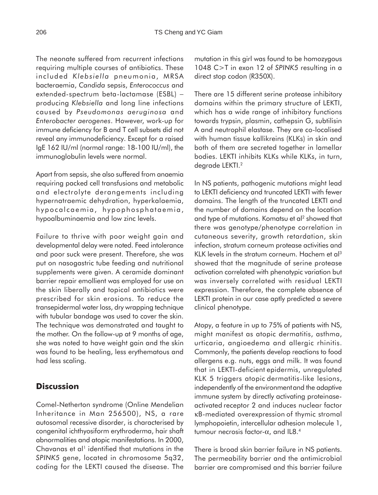The neonate suffered from recurrent infections requiring multiple courses of antibiotics. These included *Klebsiella* pneumonia, MRSA bacteraemia, *Candida* sepsis, *Enterococcus* and extended-spectrum beta-lactamase (ESBL) − producing *Klebsiella* and long line infections caused by *Pseudomonas aeruginosa* and *Enterobacter aerogenes*. However, work-up for immune deficiency for B and T cell subsets did not reveal any immunodeficiency. Except for a raised IgE 162 IU/ml (normal range: 18-100 IU/ml), the immunoglobulin levels were normal.

Apart from sepsis, she also suffered from anaemia requiring packed cell transfusions and metabolic and electrolyte derangements including hypernatraemic dehydration, hyperkalaemia, hypocalcaemia, hypophosphataemia, hypoalbuminaemia and low zinc levels.

Failure to thrive with poor weight gain and developmental delay were noted. Feed intolerance and poor suck were present. Therefore, she was put on nasogastric tube feeding and nutritional supplements were given. A ceramide dominant barrier repair emollient was employed for use on the skin liberally and topical antibiotics were prescribed for skin erosions. To reduce the transepidermal water loss, dry wrapping technique with tubular bandage was used to cover the skin. The technique was demonstrated and taught to the mother. On the follow-up at 9 months of age, she was noted to have weight gain and the skin was found to be healing, less erythematous and had less scaling.

# **Discussion**

Comel-Netherton syndrome (Online Mendelian Inheritance in Man 256500), NS, a rare autosomal recessive disorder, is characterised by congenital ichthyosiform erythroderma, hair shaft abnormalities and atopic manifestations. In 2000, Chavanas et al<sup>1</sup> identified that mutations in the *SPINK5* gene, located in chromosome 5q32, coding for the LEKTI caused the disease. The

mutation in this girl was found to be homozygous 1048 C>T in exon 12 of *SPINK5* resulting in a direct stop codon (R350X).

There are 15 different serine protease inhibitory domains within the primary structure of LEKTI, which has a wide range of inhibitory functions towards trypsin, plasmin, cathepsin G, subtilisin A and neutrophil elastase. They are co-localised with human tissue kallikreins (KLKs) in skin and both of them are secreted together in lamellar bodies. LEKTI inhibits KLKs while KLKs, in turn, degrade LEKTI.2

In NS patients, pathogenic mutations might lead to LEKTI deficiency and truncated LEKTI with fewer domains. The length of the truncated LEKTI and the number of domains depend on the location and type of mutations. Komatsu et al<sup>2</sup> showed that there was genotype/phenotype correlation in cutaneous severity, growth retardation, skin infection, stratum corneum protease activities and KLK levels in the stratum corneum. Hachem et al<sup>3</sup> showed that the magnitude of serine protease activation correlated with phenotypic variation but was inversely correlated with residual LEKTI expression. Therefore, the complete absence of LEKTI protein in our case aptly predicted a severe clinical phenotype.

Atopy, a feature in up to 75% of patients with NS, might manifest as atopic dermatitis, asthma, urticaria, angioedema and allergic rhinitis. Commonly, the patients develop reactions to food allergens e.g. nuts, eggs and milk. It was found that in LEKTI-deficient epidermis, unregulated KLK 5 triggers atopic dermatitis-like lesions, independently of the environmentand the adaptive immune system by directly activating proteinaseactivated receptor 2 and induces nuclear factor κB-mediated overexpression of thymic stromal lymphopoietin, intercellular adhesion molecule 1, tumour necrosis factor-α, and IL8.4

There is broad skin barrier failure in NS patients. The permeability barrier and the antimicrobial barrier are compromised and this barrier failure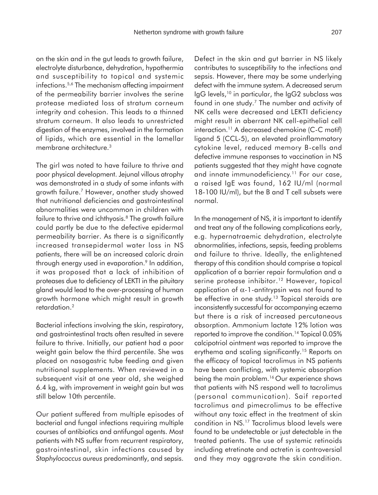on the skin and in the gut leads to growth failure, electrolyte disturbance, dehydration, hypothermia and susceptibility to topical and systemic infections.<sup>5,6</sup> The mechanism affecting impairment of the permeability barrier involves the serine protease mediated loss of stratum corneum integrity and cohesion. This leads to a thinned stratum corneum. It also leads to unrestricted digestion of the enzymes, involved in the formation of lipids, which are essential in the lamellar membrane architecture.3

The girl was noted to have failure to thrive and poor physical development. Jejunal villous atrophy was demonstrated in a study of some infants with growth failure.7 However, another study showed that nutritional deficiencies and gastrointestinal abnormalities were uncommon in children with failure to thrive and ichthyosis.<sup>8</sup> The growth failure could partly be due to the defective epidermal permeability barrier. As there is a significantly increased transepidermal water loss in NS patients, there will be an increased caloric drain through energy used in evaporation.<sup>9</sup> In addition, it was proposed that a lack of inhibition of proteases due to deficiency of LEKTI in the pituitary gland would lead to the over-processing of human growth hormone which might result in growth retardation.2

Bacterial infections involving the skin, respiratory, and gastrointestinal tracts often resulted in severe failure to thrive. Initially, our patient had a poor weight gain below the third percentile. She was placed on nasogastric tube feeding and given nutritional supplements. When reviewed in a subsequent visit at one year old, she weighed 6.4 kg, with improvement in weight gain but was still below 10th percentile.

Our patient suffered from multiple episodes of bacterial and fungal infections requiring multiple courses of antibiotics and antifungal agents. Most patients with NS suffer from recurrent respiratory, gastrointestinal, skin infections caused by *Staphylococcus aureus* predominantly, and sepsis.

Defect in the skin and gut barrier in NS likely contributes to susceptibility to the infections and sepsis. However, there may be some underlying defect with the immune system. A decreased serum IgG levels,  $10$  in particular, the IgG2 subclass was found in one study.7 The number and activity of NK cells were decreased and LEKTI deficiency might result in aberrant NK cell-epithelial cell interaction.<sup>11</sup> A decreased chemokine (C-C motif) ligand 5 (CCL-5), an elevated proinflammatory cytokine level, reduced memory B-cells and defective immune responses to vaccination in NS patients suggested that they might have cognate and innate immunodeficiency.<sup>11</sup> For our case, a raised IgE was found, 162 IU/ml (normal 18-100 IU/ml), but the B and T cell subsets were normal.

In the management of NS, it is important to identify and treat any of the following complications early, e.g. hypernatraemic dehydration, electrolyte abnormalities, infections, sepsis, feeding problems and failure to thrive. Ideally, the enlightened therapy of this condition should comprise a topical application of a barrier repair formulation and a serine protease inhibitor.<sup>12</sup> However, topical application of  $\alpha$ -1-antitrypsin was not found to be effective in one study.<sup>13</sup> Topical steroids are inconsistently successful for accompanying eczema but there is a risk of increased percutaneous absorption. Ammonium lactate 12% lotion was reported to improve the condition.<sup>14</sup> Topical 0.05% calcipotriol ointment was reported to improve the erythema and scaling significantly.<sup>15</sup> Reports on the efficacy of topical tacrolimus in NS patients have been conflicting, with systemic absorption being the main problem.<sup>16</sup> Our experience shows that patients with NS respond well to tacrolimus (personal communication). Saif reported tacrolimus and pimecrolimus to be effective without any toxic effect in the treatment of skin condition in NS.17 Tacrolimus blood levels were found to be undetectable or just detectable in the treated patients. The use of systemic retinoids including etretinate and actretin is controversial and they may aggravate the skin condition.